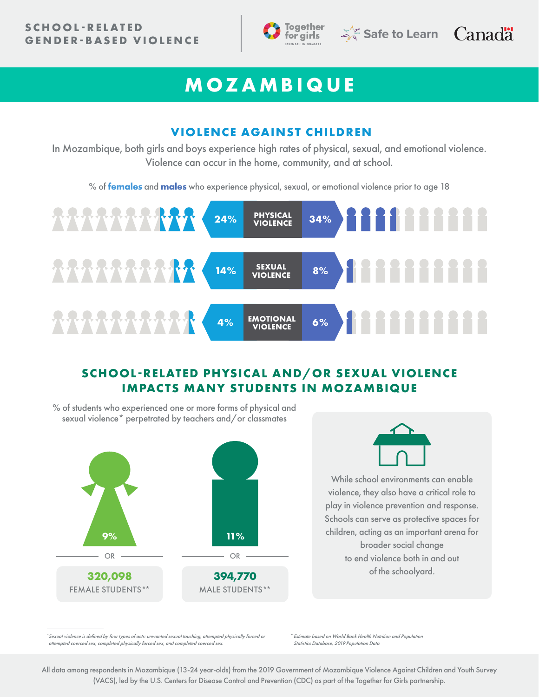



# **MOZAMBIQUE**

#### **VIOLENCE AGAINST CHILDREN**

In Mozambique, both girls and boys experience high rates of physical, sexual, and emotional violence. Violence can occur in the home, community, and at school.

% of **females** and **males** who experience physical, sexual, or emotional violence prior to age 18



# **SCHOOL-RELATED PHYSICAL AND/OR SEXUAL VIOLENCE IMPACTS MANY STUDENTS IN MOZAMBIQUE**



\**Sexual violence is defined by four types of acts: unwanted sexual touching, attempted physically forced or attempted coerced sex, completed physically forced sex, and completed coerced sex.*

\*\**Estimate based on World Bank Health Nutrition and Population Statistics Database, 2019 Population Data.*

All data among respondents in Mozambique (13-24 year-olds) from the 2019 Government of Mozambique Violence Against Children and Youth Survey (VACS), led by the U.S. Centers for Disease Control and Prevention (CDC) as part of the Together for Girls partnership.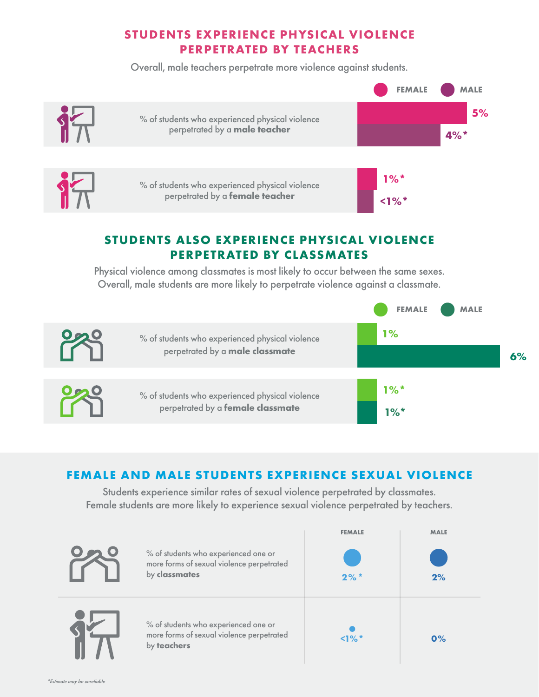# **STUDENTS EXPERIENCE PHYSICAL VIOLENCE PERPETRATED BY TEACHERS**

Overall, male teachers perpetrate more violence against students.



# **STUDENTS ALSO EXPERIENCE PHYSICAL VIOLENCE PERPETRATED BY CLASSMATES**

Physical violence among classmates is most likely to occur between the same sexes. Overall, male students are more likely to perpetrate violence against a classmate.



## **FEMALE AND MALE STUDENTS EXPERIENCE SEXUAL VIOLENCE**

Students experience similar rates of sexual violence perpetrated by classmates. Female students are more likely to experience sexual violence perpetrated by teachers.

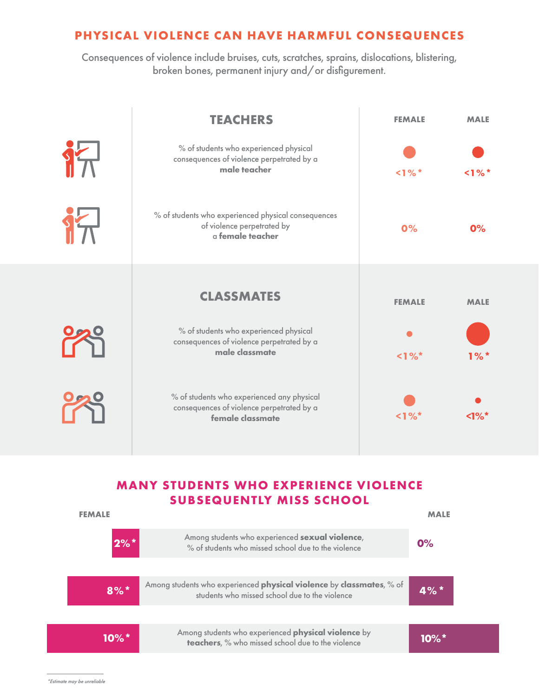#### **PHYSICAL VIOLENCE CAN HAVE HARMFUL CONSEQUENCES**

Consequences of violence include bruises, cuts, scratches, sprains, dislocations, blistering, broken bones, permanent injury and/or disfigurement.

|       | <b>TEACHERS</b>                                                                                             | <b>FEMALE</b> | <b>MALE</b> |
|-------|-------------------------------------------------------------------------------------------------------------|---------------|-------------|
| $9 -$ | % of students who experienced physical<br>consequences of violence perpetrated by a<br>male teacher         | $1\%$ *       | $1\%$ *     |
| 行     | % of students who experienced physical consequences<br>of violence perpetrated by<br>a female teacher       | 0%            | 0%          |
|       | <b>CLASSMATES</b>                                                                                           | <b>FEMALE</b> | <b>MALE</b> |
|       | % of students who experienced physical<br>consequences of violence perpetrated by a<br>male classmate       | $1\%$         | $1\%$ *     |
|       | % of students who experienced any physical<br>consequences of violence perpetrated by a<br>female classmate | $1\%$         | $1\%$       |

### **MANY STUDENTS WHO EXPERIENCE VIOLENCE SUBSEQUENTLY MISS SCHOOL**

| <b>FEMALE</b> |                                                                                                                        |                     |  |
|---------------|------------------------------------------------------------------------------------------------------------------------|---------------------|--|
| $2%$ *        | Among students who experienced sexual violence,<br>% of students who missed school due to the violence                 | O%                  |  |
| $8%$ *        | Among students who experienced physical violence by classmates, % of<br>students who missed school due to the violence | $4%$ *              |  |
| $10\%$ *      | Among students who experienced physical violence by<br>teachers, % who missed school due to the violence               | $10\%$ <sup>*</sup> |  |